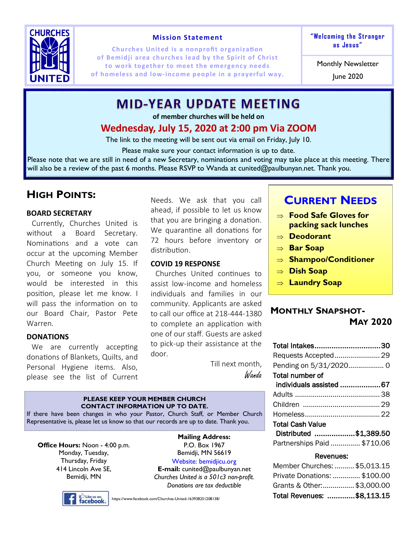

#### **Mission Statement**

**Churches United is a nonprofit organization of Bemidji area churches lead by the Spirit of Christ to work together to meet the emergency needs of homeless and low-income people in a prayerful way. The 2020 June 2020** 

**"We lcoming t he St ranger as Jes us "**

Monthly Newsletter

## **MID-YEAR UPDATE MEETING**

**of member churches will be held on** 

## **Wednesday, July 15, 2020 at 2:00 pm Via ZOOM**

The link to the meeting will be sent out via email on Friday, July 10.

Please make sure your contact information is up to date.

Please note that we are still in need of a new Secretary, nominations and voting may take place at this meeting. There will also be a review of the past 6 months. Please RSVP to Wanda at cunited@paulbunyan.net. Thank you.

## **HIGH POINTS:**

#### **BOARD SECRETARY**

Currently, Churches United is without a Board Secretary. Nominations and a vote can occur at the upcoming Member Church Meeting on July 15. If you, or someone you know, would be interested in this position, please let me know. I will pass the information on to our Board Chair, Pastor Pete Warren.

#### **DONATIONS**

We are currently accepting donations of Blankets, Quilts, and Personal Hygiene items. Also, please see the list of Current

Needs. We ask that you call ahead, if possible to let us know that you are bringing a donation. We quarantine all donations for 72 hours before inventory or distribution.

#### **COVID 19 RESPONSE**

Churches United continues to assist low-income and homeless individuals and families in our community. Applicants are asked to call our office at 218-444-1380 to complete an application with one of our staff. Guests are asked to pick-up their assistance at the door.

> Till next month, Wanda

## **CURRENT NEEDS**

- **Food Safe Gloves for packing sack lunches**
- **Deodorant**
- **Bar Soap**
- **Shampoo/Conditioner**
- **Dish Soap**
- **Laundry Soap**

### **MONTHLY SNAPSHOT-**

## **MAY 2020**

| Total Intakes30             |  |
|-----------------------------|--|
|                             |  |
|                             |  |
| Total number of             |  |
| individuals assisted 67     |  |
|                             |  |
|                             |  |
|                             |  |
| <b>Total Cash Value</b>     |  |
| Distributed \$1,389.50      |  |
| Partnerships Paid  \$710.06 |  |

#### Revenues:

| Member Churches:  \$5,013.15 |  |
|------------------------------|--|
| Private Donations:  \$100.00 |  |
| Grants & Other:\$3,000.00    |  |
| Total Revenues: \$8,113.15   |  |

#### **PLEASE KEEP YOUR MEMBER CHURCH CONTACT INFORMATION UP TO DATE.**

If there have been changes in who your Pastor, Church Staff, or Member Church Representative is, please let us know so that our records are up to date. Thank you.

**Office Hours:** Noon - 4:00 p.m. Monday, Tuesday, Thursday, Friday 414 Lincoln Ave SE, Bemidji, MN

a<sup>n</sup> Like us on:<br>**facebook**。

**Mailing Address:**  P.O. Box 1967 Bemidji, MN 56619 Website: bemidjicu.org **E-mail:** cunited@paulbunyan.net *Churches United is a 501c3 non-profit. Donations are tax deductible*

https://www.facebook.com/Churches-United-163938251208138/